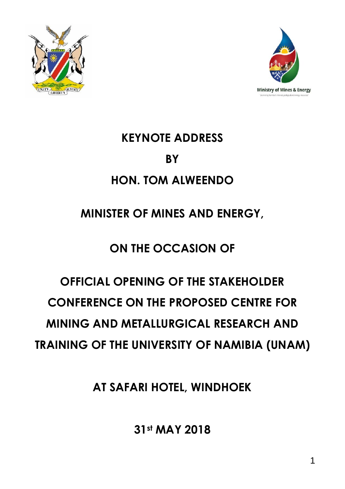



## **KEYNOTE ADDRESS BY HON. TOM ALWEENDO**

### **MINISTER OF MINES AND ENERGY,**

## **ON THE OCCASION OF**

# **OFFICIAL OPENING OF THE STAKEHOLDER CONFERENCE ON THE PROPOSED CENTRE FOR MINING AND METALLURGICAL RESEARCH AND TRAINING OF THE UNIVERSITY OF NAMIBIA (UNAM)**

**AT SAFARI HOTEL, WINDHOEK**

**31st MAY 2018**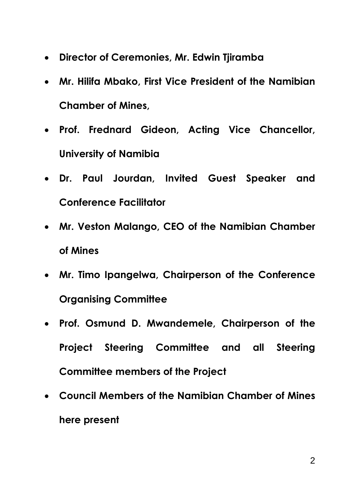- **Director of Ceremonies, Mr. Edwin Tjiramba**
- **Mr. Hilifa Mbako, First Vice President of the Namibian Chamber of Mines,**
- **Prof. Frednard Gideon, Acting Vice Chancellor, University of Namibia**
- **Dr. Paul Jourdan, Invited Guest Speaker and Conference Facilitator**
- **Mr. Veston Malango, CEO of the Namibian Chamber of Mines**
- **Mr. Timo Ipangelwa, Chairperson of the Conference Organising Committee**
- **Prof. Osmund D. Mwandemele, Chairperson of the Project Steering Committee and all Steering Committee members of the Project**
- **Council Members of the Namibian Chamber of Mines here present**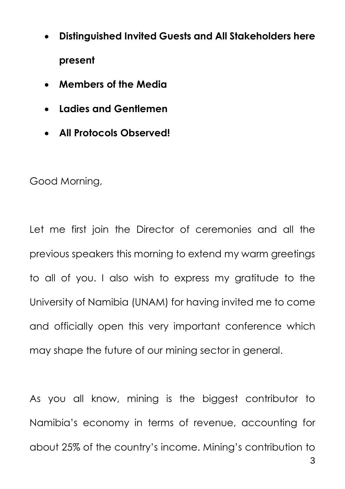- **Distinguished Invited Guests and All Stakeholders here present**
- **Members of the Media**
- **Ladies and Gentlemen**
- **All Protocols Observed!**

Good Morning,

Let me first join the Director of ceremonies and all the previous speakers this morning to extend my warm greetings to all of you. I also wish to express my gratitude to the University of Namibia (UNAM) for having invited me to come and officially open this very important conference which may shape the future of our mining sector in general.

As you all know, mining is the biggest contributor to Namibia's economy in terms of revenue, accounting for about 25% of the country's income. Mining's contribution to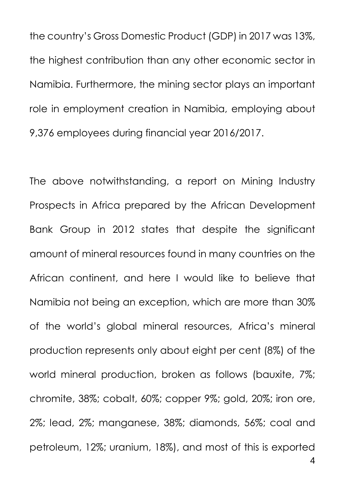the country's Gross Domestic Product (GDP) in 2017 was 13%, the highest contribution than any other economic sector in Namibia. Furthermore, the mining sector plays an important role in employment creation in Namibia, employing about 9,376 employees during financial year 2016/2017.

The above notwithstanding, a report on Mining Industry Prospects in Africa prepared by the African Development Bank Group in 2012 states that despite the significant amount of mineral resources found in many countries on the African continent, and here I would like to believe that Namibia not being an exception, which are more than 30% of the world's global mineral resources, Africa's mineral production represents only about eight per cent (8%) of the world mineral production, broken as follows (bauxite, 7%; chromite, 38%; cobalt, 60%; copper 9%; gold, 20%; iron ore, 2%; lead, 2%; manganese, 38%; diamonds, 56%; coal and petroleum, 12%; uranium, 18%), and most of this is exported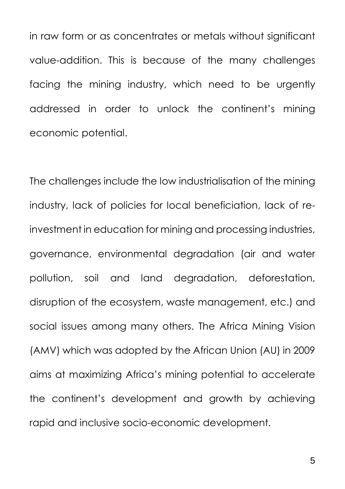in raw form or as concentrates or metals without significant value-addition. This is because of the many challenges facing the mining industry, which need to be urgently addressed in order to unlock the continent's mining economic potential.

The challenges include the low industrialisation of the mining industry, lack of policies for local beneficiation, lack of reinvestment in education for mining and processing industries, governance, environmental degradation (air and water pollution, soil and land degradation, deforestation, disruption of the ecosystem, waste management, etc.) and social issues among many others. The Africa Mining Vision (AMV) which was adopted by the African Union (AU) in 2009 aims at maximizing Africa's mining potential to accelerate the continent's development and growth by achieving rapid and inclusive socio-economic development.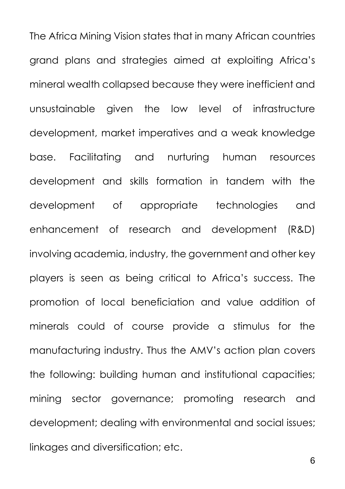The Africa Mining Vision states that in many African countries grand plans and strategies aimed at exploiting Africa's mineral wealth collapsed because they were inefficient and unsustainable given the low level of infrastructure development, market imperatives and a weak knowledge base. Facilitating and nurturing human resources development and skills formation in tandem with the development of appropriate technologies and enhancement of research and development (R&D) involving academia, industry, the government and other key players is seen as being critical to Africa's success. The promotion of local beneficiation and value addition of minerals could of course provide a stimulus for the manufacturing industry. Thus the AMV's action plan covers the following: building human and institutional capacities; mining sector governance; promoting research and development; dealing with environmental and social issues; linkages and diversification; etc.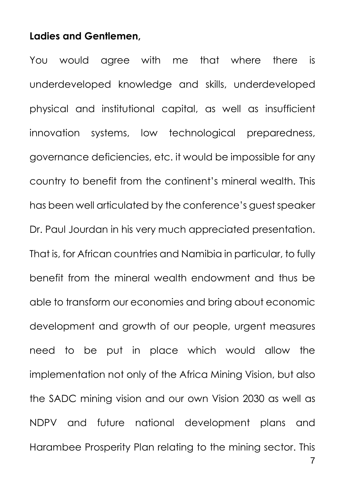#### **Ladies and Gentlemen,**

You would agree with me that where there is underdeveloped knowledge and skills, underdeveloped physical and institutional capital, as well as insufficient innovation systems, low technological preparedness, governance deficiencies, etc. it would be impossible for any country to benefit from the continent's mineral wealth. This has been well articulated by the conference's quest speaker Dr. Paul Jourdan in his very much appreciated presentation. That is, for African countries and Namibia in particular, to fully benefit from the mineral wealth endowment and thus be able to transform our economies and bring about economic development and growth of our people, urgent measures need to be put in place which would allow the implementation not only of the Africa Mining Vision, but also the SADC mining vision and our own Vision 2030 as well as NDPV and future national development plans and Harambee Prosperity Plan relating to the mining sector. This

7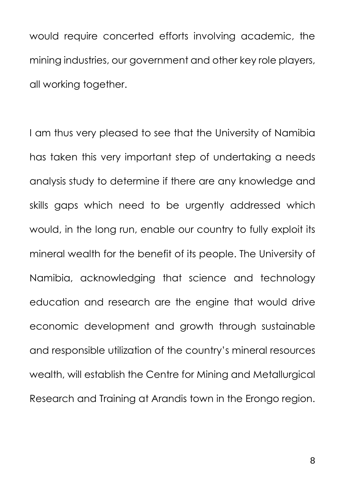would require concerted efforts involving academic, the mining industries, our government and other key role players, all working together.

I am thus very pleased to see that the University of Namibia has taken this very important step of undertaking a needs analysis study to determine if there are any knowledge and skills gaps which need to be urgently addressed which would, in the long run, enable our country to fully exploit its mineral wealth for the benefit of its people. The University of Namibia, acknowledging that science and technology education and research are the engine that would drive economic development and growth through sustainable and responsible utilization of the country's mineral resources wealth, will establish the Centre for Mining and Metallurgical Research and Training at Arandis town in the Erongo region.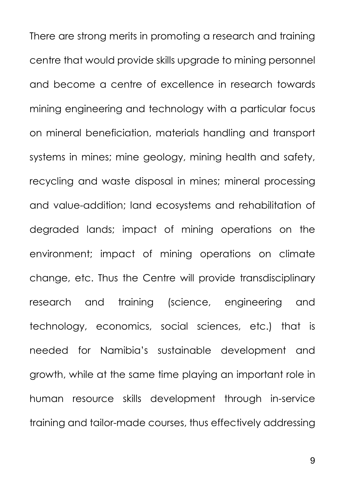There are strong merits in promoting a research and training centre that would provide skills upgrade to mining personnel and become a centre of excellence in research towards mining engineering and technology with a particular focus on mineral beneficiation, materials handling and transport systems in mines; mine geology, mining health and safety, recycling and waste disposal in mines; mineral processing and value-addition; land ecosystems and rehabilitation of degraded lands; impact of mining operations on the environment; impact of mining operations on climate change, etc. Thus the Centre will provide transdisciplinary research and training (science, engineering and technology, economics, social sciences, etc.) that is needed for Namibia's sustainable development and growth, while at the same time playing an important role in human resource skills development through in-service training and tailor-made courses, thus effectively addressing

9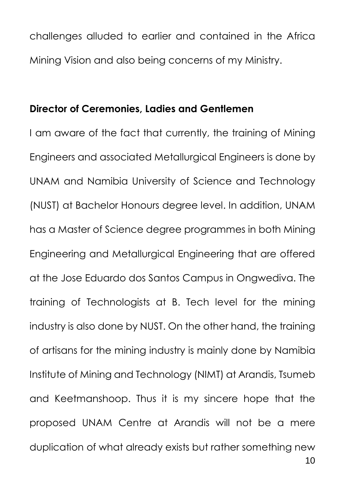challenges alluded to earlier and contained in the Africa Mining Vision and also being concerns of my Ministry.

### **Director of Ceremonies, Ladies and Gentlemen**

I am aware of the fact that currently, the training of Mining Engineers and associated Metallurgical Engineers is done by UNAM and Namibia University of Science and Technology (NUST) at Bachelor Honours degree level. In addition, UNAM has a Master of Science degree programmes in both Mining Engineering and Metallurgical Engineering that are offered at the Jose Eduardo dos Santos Campus in Ongwediva. The training of Technologists at B. Tech level for the mining industry is also done by NUST. On the other hand, the training of artisans for the mining industry is mainly done by Namibia Institute of Mining and Technology (NIMT) at Arandis, Tsumeb and Keetmanshoop. Thus it is my sincere hope that the proposed UNAM Centre at Arandis will not be a mere duplication of what already exists but rather something new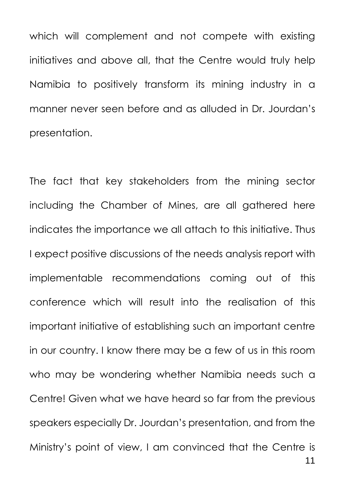which will complement and not compete with existing initiatives and above all, that the Centre would truly help Namibia to positively transform its mining industry in a manner never seen before and as alluded in Dr. Jourdan's presentation.

The fact that key stakeholders from the mining sector including the Chamber of Mines, are all gathered here indicates the importance we all attach to this initiative. Thus I expect positive discussions of the needs analysis report with implementable recommendations coming out of this conference which will result into the realisation of this important initiative of establishing such an important centre in our country. I know there may be a few of us in this room who may be wondering whether Namibia needs such a Centre! Given what we have heard so far from the previous speakers especially Dr. Jourdan's presentation, and from the Ministry's point of view, I am convinced that the Centre is